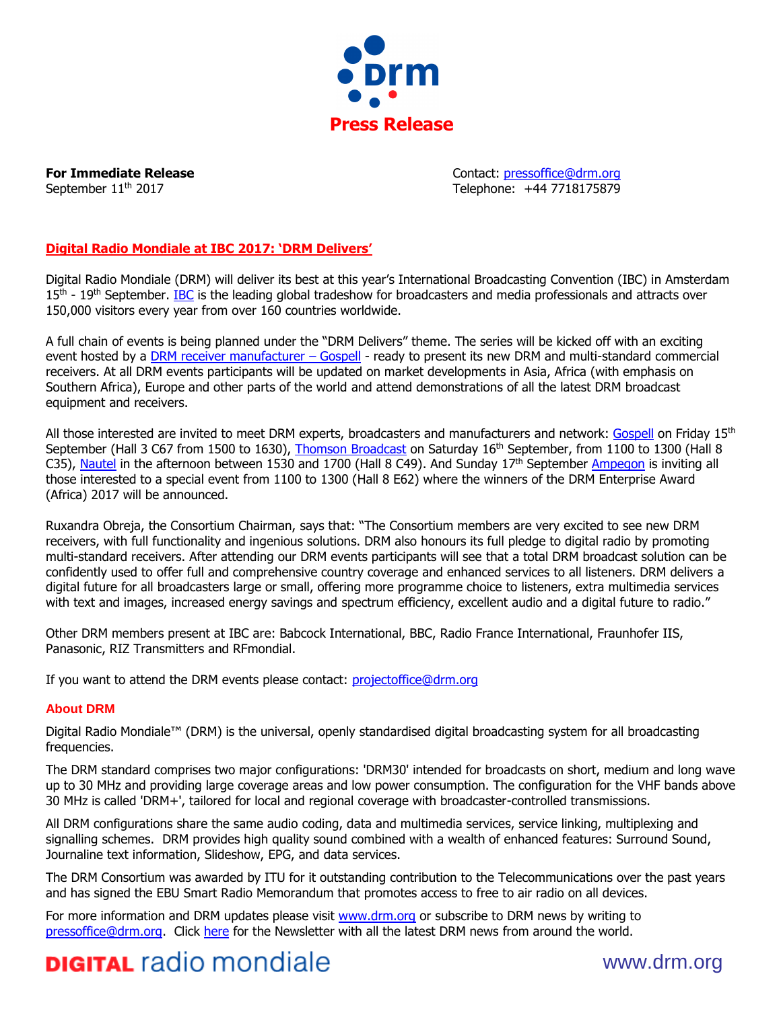

**For Immediate Release Contact: pressoffice@drm.org** September 11<sup>th</sup> 2017 **Telephone: +44 7718175879** 

## **Digital Radio Mondiale at IBC 2017: 'DRM Delivers'**

Digital Radio Mondiale (DRM) will deliver its best at this year's International Broadcasting Convention (IBC) in Amsterdam 15<sup>th</sup> - 19<sup>th</sup> September. [IBC](http://www.ibc.org/) is the leading global tradeshow for broadcasters and media professionals and attracts over 150,000 visitors every year from over 160 countries worldwide.

A full chain of events is being planned under the "DRM Delivers" theme. The series will be kicked off with an exciting event hosted by a [DRM receiver manufacturer](http://www.drm.org/wp-content/uploads/2017/09/GR-227-Press-Release.pdf) – Gospell - ready to present its new DRM and multi-standard commercial receivers. At all DRM events participants will be updated on market developments in Asia, Africa (with emphasis on Southern Africa), Europe and other parts of the world and attend demonstrations of all the latest DRM broadcast equipment and receivers.

All those interested are invited to meet DRM experts, broadcasters and manufacturers and network: [Gospell](http://www.goscas.com/) on Friday  $15<sup>th</sup>$ September (Hall 3 C67 from 1500 to 1630), [Thomson Broadcast](http://www.thomson-broadcast.com/) on Saturday 16<sup>th</sup> September, from 1100 to 1300 (Hall 8 C35), [Nautel](http://www.nautel.com/) in the afternoon between 1530 and 1700 (Hall 8 C49). And Sunday 17<sup>th</sup> September [Ampegon](http://ampegon.com/) is inviting all those interested to a special event from 1100 to 1300 (Hall 8 E62) where the winners of the DRM Enterprise Award (Africa) 2017 will be announced.

Ruxandra Obreja, the Consortium Chairman, says that: "The Consortium members are very excited to see new DRM receivers, with full functionality and ingenious solutions. DRM also honours its full pledge to digital radio by promoting multi-standard receivers. After attending our DRM events participants will see that a total DRM broadcast solution can be confidently used to offer full and comprehensive country coverage and enhanced services to all listeners. DRM delivers a digital future for all broadcasters large or small, offering more programme choice to listeners, extra multimedia services with text and images, increased energy savings and spectrum efficiency, excellent audio and a digital future to radio."

Other DRM members present at IBC are: Babcock International, BBC, Radio France International, Fraunhofer IIS, Panasonic, RIZ Transmitters and RFmondial.

If you want to attend the DRM events please contact: [projectoffice@drm.org](mailto:projectoffice@drm.org)

### **About DRM**

Digital Radio Mondiale™ (DRM) is the universal, openly standardised digital broadcasting system for all broadcasting frequencies.

The DRM standard comprises two major configurations: 'DRM30' intended for broadcasts on short, medium and long wave up to 30 MHz and providing large coverage areas and low power consumption. The configuration for the VHF bands above 30 MHz is called 'DRM+', tailored for local and regional coverage with broadcaster-controlled transmissions.

All DRM configurations share the same audio coding, data and multimedia services, service linking, multiplexing and signalling schemes. DRM provides high quality sound combined with a wealth of enhanced features: Surround Sound, Journaline text information, Slideshow, EPG, and data services.

The DRM Consortium was awarded by ITU for it outstanding contribution to the Telecommunications over the past years and has signed the EBU Smart Radio Memorandum that promotes access to free to air radio on all devices.

For more information and DRM updates please visit [www.drm.org](http://www.drm.org/) or subscribe to DRM news by writing to [pressoffice@drm.org.](mailto:pressoffice@drm.org) Click [here](http://www.drm.org/?page_id=320) for the Newsletter with all the latest DRM news from around the world.

# **DIGITAL** radio mondiale www.drm.org